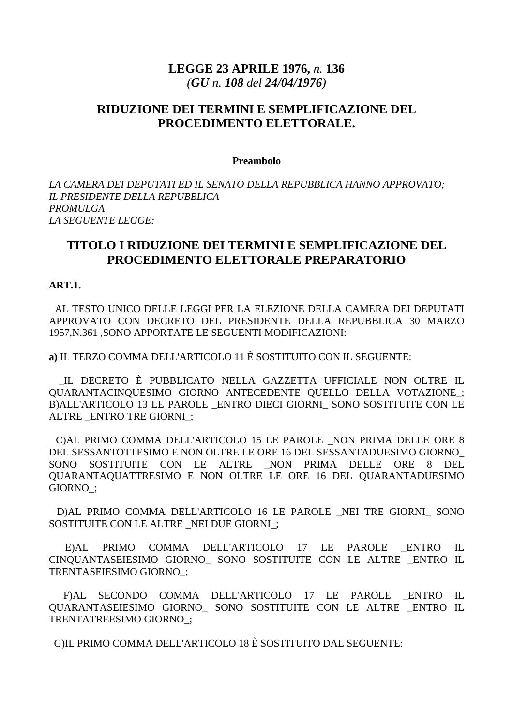# **LEGGE 23 APRILE 1976,** *n.* **136**  *(GU n. 108 del 24/04/1976)*

# **RIDUZIONE DEI TERMINI E SEMPLIFICAZIONE DEL PROCEDIMENTO ELETTORALE.**

#### **Preambolo**

*LA CAMERA DEI DEPUTATI ED IL SENATO DELLA REPUBBLICA HANNO APPROVATO; IL PRESIDENTE DELLA REPUBBLICA PROMULGA LA SEGUENTE LEGGE:* 

## **TITOLO I RIDUZIONE DEI TERMINI E SEMPLIFICAZIONE DEL PROCEDIMENTO ELETTORALE PREPARATORIO**

#### **ART.1.**

 AL TESTO UNICO DELLE LEGGI PER LA ELEZIONE DELLA CAMERA DEI DEPUTATI APPROVATO CON DECRETO DEL PRESIDENTE DELLA REPUBBLICA 30 MARZO 1957,N.361 ,SONO APPORTATE LE SEGUENTI MODIFICAZIONI:

**a)** IL TERZO COMMA DELL'ARTICOLO 11 È SOSTITUITO CON IL SEGUENTE:

 \_IL DECRETO È PUBBLICATO NELLA GAZZETTA UFFICIALE NON OLTRE IL QUARANTACINQUESIMO GIORNO ANTECEDENTE QUELLO DELLA VOTAZIONE\_; B)ALL'ARTICOLO 13 LE PAROLE \_ENTRO DIECI GIORNI\_ SONO SOSTITUITE CON LE ALTRE \_ENTRO TRE GIORNI\_;

 C)AL PRIMO COMMA DELL'ARTICOLO 15 LE PAROLE \_NON PRIMA DELLE ORE 8 DEL SESSANTOTTESIMO E NON OLTRE LE ORE 16 DEL SESSANTADUESIMO GIORNO\_ SONO SOSTITUITE CON LE ALTRE \_NON PRIMA DELLE ORE 8 DEL QUARANTAQUATTRESIMO E NON OLTRE LE ORE 16 DEL QUARANTADUESIMO GIORNO\_;

 D)AL PRIMO COMMA DELL'ARTICOLO 16 LE PAROLE \_NEI TRE GIORNI\_ SONO SOSTITUITE CON LE ALTRE NEI DUE GIORNI ;

 E)AL PRIMO COMMA DELL'ARTICOLO 17 LE PAROLE \_ENTRO IL CINQUANTASEIESIMO GIORNO\_ SONO SOSTITUITE CON LE ALTRE \_ENTRO IL TRENTASEIESIMO GIORNO\_;

 F)AL SECONDO COMMA DELL'ARTICOLO 17 LE PAROLE \_ENTRO IL QUARANTASEIESIMO GIORNO\_ SONO SOSTITUITE CON LE ALTRE \_ENTRO IL TRENTATREESIMO GIORNO\_;

G)IL PRIMO COMMA DELL'ARTICOLO 18 È SOSTITUITO DAL SEGUENTE: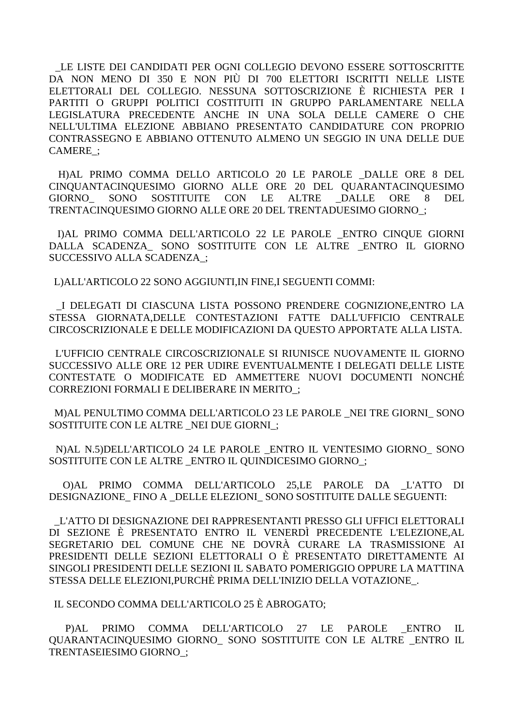LE LISTE DEI CANDIDATI PER OGNI COLLEGIO DEVONO ESSERE SOTTOSCRITTE DA NON MENO DI 350 E NON PIÙ DI 700 ELETTORI ISCRITTI NELLE LISTE ELETTORALI DEL COLLEGIO. NESSUNA SOTTOSCRIZIONE È RICHIESTA PER I PARTITI O GRUPPI POLITICI COSTITUITI IN GRUPPO PARLAMENTARE NELLA LEGISLATURA PRECEDENTE ANCHE IN UNA SOLA DELLE CAMERE O CHE NELL'ULTIMA ELEZIONE ABBIANO PRESENTATO CANDIDATURE CON PROPRIO CONTRASSEGNO E ABBIANO OTTENUTO ALMENO UN SEGGIO IN UNA DELLE DUE CAMERE :

H)AL PRIMO COMMA DELLO ARTICOLO 20 LE PAROLE \_DALLE ORE 8 DEL CINOUANTACINOUESIMO GIORNO ALLE ORE 20 DEL OUARANTACINOUESIMO **SOSTITUITE CON** LE **ALTRE DALLE** GIORNO **SONO ORE** 8 DEL. TRENTACINQUESIMO GIORNO ALLE ORE 20 DEL TRENTADUESIMO GIORNO ;

DAL PRIMO COMMA DELL'ARTICOLO 22 LE PAROLE ENTRO CINOUE GIORNI DALLA SCADENZA\_ SONO SOSTITUITE CON LE ALTRE \_ENTRO IL GIORNO SUCCESSIVO ALLA SCADENZA :

L) ALL'ARTICOLO 22 SONO AGGIUNTI, IN FINE, I SEGUENTI COMMI:

I DELEGATI DI CIASCUNA LISTA POSSONO PRENDERE COGNIZIONE.ENTRO LA STESSA GIORNATA.DELLE CONTESTAZIONI FATTE DALL'UFFICIO CENTRALE CIRCOSCRIZIONALE E DELLE MODIFICAZIONI DA OUESTO APPORTATE ALLA LISTA.

L'UFFICIO CENTRALE CIRCOSCRIZIONALE SI RIUNISCE NUOVAMENTE IL GIORNO SUCCESSIVO ALLE ORE 12 PER UDIRE EVENTUALMENTE I DELEGATI DELLE LISTE CONTESTATE O MODIFICATE ED AMMETTERE NUOVI DOCUMENTI NONCHÉ **CORREZIONI FORMALI E DELIBERARE IN MERITO:** 

M) AL PENULTIMO COMMA DELL'ARTICOLO 23 LE PAROLE NEI TRE GIORNI SONO SOSTITUITE CON LE ALTRE \_NEI DUE GIORNI ;

N)AL N.5)DELL'ARTICOLO 24 LE PAROLE ENTRO IL VENTESIMO GIORNO SONO SOSTITUITE CON LE ALTRE ENTRO IL QUINDICESIMO GIORNO ;

O)AL PRIMO COMMA DELL'ARTICOLO 25,LE PAROLE DA L'ATTO DI DESIGNAZIONE FINO A DELLE ELEZIONI SONO SOSTITUITE DALLE SEGUENTI:

L'ATTO DI DESIGNAZIONE DEI RAPPRESENTANTI PRESSO GLI UFFICI ELETTORALI DI SEZIONE È PRESENTATO ENTRO IL VENERDÌ PRECEDENTE L'ELEZIONE, AL SEGRETARIO DEL COMUNE CHE NE DOVRÀ CURARE LA TRASMISSIONE AI PRESIDENTI DELLE SEZIONI ELETTORALI O È PRESENTATO DIRETTAMENTE AI SINGOLI PRESIDENTI DELLE SEZIONI IL SABATO POMERIGGIO OPPURE LA MATTINA STESSA DELLE ELEZIONI, PURCHÈ PRIMA DELL'INIZIO DELLA VOTAZIONE.

IL SECONDO COMMA DELL'ARTICOLO 25 È ABROGATO:

PRIMO COMMA DELL'ARTICOLO 27 LE PAROLE  $IL$  $P|AL$ ENTRO QUARANTACINQUESIMO GIORNO\_ SONO SOSTITUITE CON LE ALTRE \_ENTRO IL TRENTASEIESIMO GIORNO: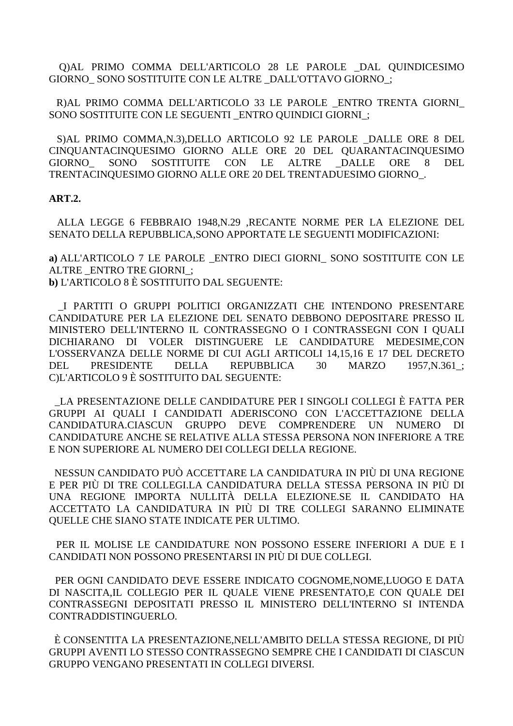Q)AL PRIMO COMMA DELL'ARTICOLO 28 LE PAROLE \_DAL QUINDICESIMO GIORNO SONO SOSTITUITE CON LE ALTRE DALL'OTTAVO GIORNO ;

R) AL PRIMO COMMA DELL'ARTICOLO 33 LE PAROLE ENTRO TRENTA GIORNI SONO SOSTITUITE CON LE SEGUENTI\_ENTRO QUINDICI GIORNI\_;

S)AL PRIMO COMMA, N.3), DELLO ARTICOLO 92 LE PAROLE DALLE ORE 8 DEL CINQUANTACINQUESIMO GIORNO ALLE ORE 20 DEL QUARANTACINQUESIMO SOSTITUITE CON **ALTRE** DALLE **ORE** GIORNO **SONO** LE 8 **DEL** TRENTACINQUESIMO GIORNO ALLE ORE 20 DEL TRENTADUESIMO GIORNO.

### **ART.2.**

ALLA LEGGE 6 FEBBRAIO 1948.N.29 .RECANTE NORME PER LA ELEZIONE DEL SENATO DELLA REPUBBLICA, SONO APPORTATE LE SEGUENTI MODIFICAZIONI:

a) ALL'ARTICOLO 7 LE PAROLE ENTRO DIECI GIORNI SONO SOSTITUITE CON LE ALTRE ENTRO TRE GIORNI: **b**) L'ARTICOLO 8 È SOSTITUITO DAL SEGUENTE:

I PARTITI O GRUPPI POLITICI ORGANIZZATI CHE INTENDONO PRESENTARE CANDIDATURE PER LA ELEZIONE DEL SENATO DEBBONO DEPOSITARE PRESSO IL MINISTERO DELL'INTERNO IL CONTRASSEGNO O I CONTRASSEGNI CON I OUALI DICHIARANO DI VOLER DISTINGUERE LE CANDIDATURE MEDESIME.CON L'OSSERVANZA DELLE NORME DI CUI AGLI ARTICOLI 14,15,16 E 17 DEL DECRETO DEL. **PRESIDENTE DELLA REPUBBLICA**  $30<sup>2</sup>$ **MARZO** 1957.N.361 : C)L'ARTICOLO 9 È SOSTITUITO DAL SEGUENTE:

LA PRESENTAZIONE DELLE CANDIDATURE PER I SINGOLI COLLEGI È FATTA PER GRUPPI AI OUALI I CANDIDATI ADERISCONO CON L'ACCETTAZIONE DELLA CANDIDATURA.CIASCUN GRUPPO DEVE COMPRENDERE UN NUMERO DI CANDIDATURE ANCHE SE RELATIVE ALLA STESSA PERSONA NON INFERIORE A TRE E NON SUPERIORE AL NUMERO DEI COLLEGI DELLA REGIONE.

NESSUN CANDIDATO PUÒ ACCETTARE LA CANDIDATURA IN PIÙ DI UNA REGIONE E PER PIÙ DI TRE COLLEGI.LA CANDIDATURA DELLA STESSA PERSONA IN PIÙ DI UNA REGIONE IMPORTA NULLITÀ DELLA ELEZIONE.SE IL CANDIDATO HA ACCETTATO LA CANDIDATURA IN PIÙ DI TRE COLLEGI SARANNO ELIMINATE QUELLE CHE SIANO STATE INDICATE PER ULTIMO.

PER IL MOLISE LE CANDIDATURE NON POSSONO ESSERE INFERIORI A DUE E I CANDIDATI NON POSSONO PRESENTARSI IN PIÙ DI DUE COLLEGI.

PER OGNI CANDIDATO DEVE ESSERE INDICATO COGNOME, NOME, LUOGO E DATA DI NASCITA, IL COLLEGIO PER IL QUALE VIENE PRESENTATO, E CON QUALE DEI CONTRASSEGNI DEPOSITATI PRESSO IL MINISTERO DELL'INTERNO SI INTENDA CONTRADDISTINGUERLO.

È CONSENTITA LA PRESENTAZIONE, NELL'AMBITO DELLA STESSA REGIONE, DI PIÙ GRUPPI AVENTI LO STESSO CONTRASSEGNO SEMPRE CHE I CANDIDATI DI CIASCUN GRUPPO VENGANO PRESENTATI IN COLLEGI DIVERSI.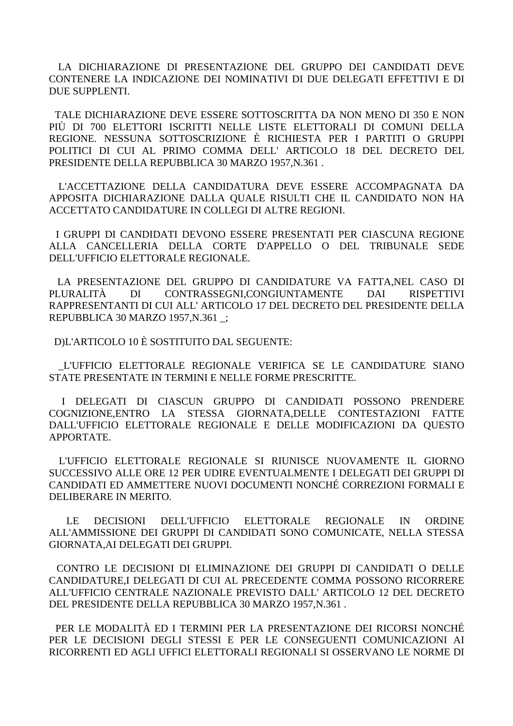LA DICHIARAZIONE DI PRESENTAZIONE DEL GRUPPO DEI CANDIDATI DEVE CONTENERE LA INDICAZIONE DEI NOMINATIVI DI DUE DELEGATI EFFETTIVI E DI DUE SUPPLENTI.

TALE DICHIARAZIONE DEVE ESSERE SOTTOSCRITTA DA NON MENO DI 350 E NON PIÙ DI 700 ELETTORI ISCRITTI NELLE LISTE ELETTORALI DI COMUNI DELLA REGIONE. NESSUNA SOTTOSCRIZIONE È RICHIESTA PER I PARTITI O GRUPPI POLITICI DI CUI AL PRIMO COMMA DELL'ARTICOLO 18 DEL DECRETO DEL PRESIDENTE DELLA REPUBBLICA 30 MARZO 1957, N.361.

L'ACCETTAZIONE DELLA CANDIDATURA DEVE ESSERE ACCOMPAGNATA DA APPOSITA DICHIARAZIONE DALLA QUALE RISULTI CHE IL CANDIDATO NON HA ACCETTATO CANDIDATURE IN COLLEGI DI ALTRE REGIONI.

I GRUPPI DI CANDIDATI DEVONO ESSERE PRESENTATI PER CIASCUNA REGIONE ALLA CANCELLERIA DELLA CORTE D'APPELLO O DEL TRIBUNALE SEDE DELL'UFFICIO ELETTORALE REGIONALE.

LA PRESENTAZIONE DEL GRUPPO DI CANDIDATURE VA FATTA, NEL CASO DI PLURALITÀ DI CONTRASSEGNI, CONGIUNTAMENTE **DAI RISPETTIVI** RAPPRESENTANTI DI CUI ALL'ARTICOLO 17 DEL DECRETO DEL PRESIDENTE DELLA REPUBBLICA 30 MARZO 1957, N.361 :

DIL'ARTICOLO 10 È SOSTITUITO DAL SEGUENTE:

L'UFFICIO ELETTORALE REGIONALE VERIFICA SE LE CANDIDATURE SIANO STATE PRESENTATE IN TERMINI E NELLE FORME PRESCRITTE.

I DELEGATI DI CIASCUN GRUPPO DI CANDIDATI POSSONO PRENDERE COGNIZIONE.ENTRO LA STESSA GIORNATA.DELLE CONTESTAZIONI FATTE DALL'UFFICIO ELETTORALE REGIONALE E DELLE MODIFICAZIONI DA QUESTO APPORTATE.

L'UFFICIO ELETTORALE REGIONALE SI RIUNISCE NUOVAMENTE IL GIORNO SUCCESSIVO ALLE ORE 12 PER UDIRE EVENTUALMENTE I DELEGATI DEI GRUPPI DI CANDIDATI ED AMMETTERE NUOVI DOCUMENTI NONCHÉ CORREZIONI FORMALI E DELIBERARE IN MERITO.

**DECISIONI** DELL'UFFICIO ELETTORALE **REGIONALE**  $IN$  $LE$ **ORDINE** ALL'AMMISSIONE DEI GRUPPI DI CANDIDATI SONO COMUNICATE, NELLA STESSA GIORNATA.AI DELEGATI DEI GRUPPI.

CONTRO LE DECISIONI DI ELIMINAZIONE DEI GRUPPI DI CANDIDATI O DELLE CANDIDATURE.I DELEGATI DI CUI AL PRECEDENTE COMMA POSSONO RICORRERE ALL'UFFICIO CENTRALE NAZIONALE PREVISTO DALL' ARTICOLO 12 DEL DECRETO DEL PRESIDENTE DELLA REPUBBLICA 30 MARZO 1957, N.361.

PER LE MODALITÀ ED I TERMINI PER LA PRESENTAZIONE DEI RICORSI NONCHÉ PER LE DECISIONI DEGLI STESSI E PER LE CONSEGUENTI COMUNICAZIONI AI RICORRENTI ED AGLI UFFICI ELETTORALI REGIONALI SI OSSERVANO LE NORME DI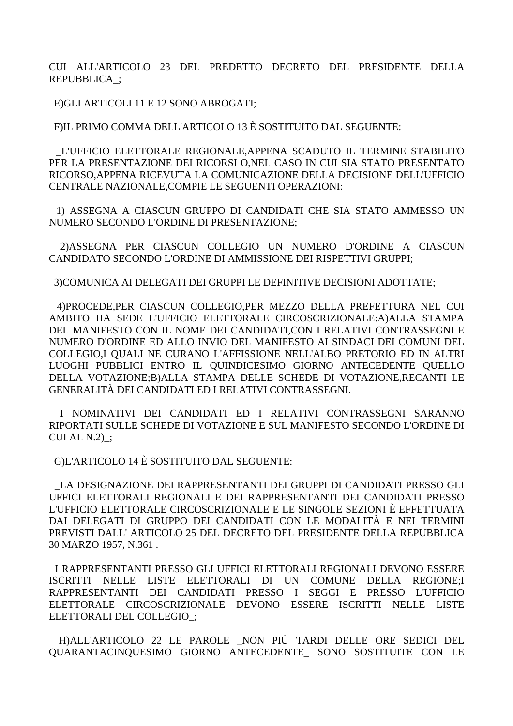CUI ALL'ARTICOLO 23 DEL PREDETTO DECRETO DEL PRESIDENTE DELLA REPUBBLICA ;

E)GLI ARTICOLI 11 E 12 SONO ABROGATI;

FIL PRIMO COMMA DELL'ARTICOLO 13 È SOSTITUITO DAL SEGUENTE:

L'UFFICIO ELETTORALE REGIONALE, APPENA SCADUTO IL TERMINE STABILITO PER LA PRESENTAZIONE DEI RICORSI O.NEL CASO IN CUI SIA STATO PRESENTATO RICORSO, APPENA RICEVUTA LA COMUNICAZIONE DELLA DECISIONE DELL'UFFICIO CENTRALE NAZIONALE, COMPIE LE SEGUENTI OPERAZIONI:

1) ASSEGNA A CIASCUN GRUPPO DI CANDIDATI CHE SIA STATO AMMESSO UN NUMERO SECONDO L'ORDINE DI PRESENTAZIONE:

2) ASSEGNA PER CIASCUN COLLEGIO UN NUMERO D'ORDINE A CIASCUN CANDIDATO SECONDO L'ORDINE DI AMMISSIONE DEI RISPETTIVI GRUPPI;

3) COMUNICA AI DELEGATI DEI GRUPPI LE DEFINITIVE DECISIONI ADOTTATE:

4) PROCEDE, PER CIASCUN COLLEGIO, PER MEZZO DELLA PREFETTURA NEL CUI AMBITO HA SEDE L'UFFICIO ELETTORALE CIRCOSCRIZIONALE:A)ALLA STAMPA DEL MANIFESTO CON IL NOME DEI CANDIDATI,CON I RELATIVI CONTRASSEGNI E NUMERO D'ORDINE ED ALLO INVIO DEL MANIFESTO AI SINDACI DEI COMUNI DEL COLLEGIO,I OUALI NE CURANO L'AFFISSIONE NELL'ALBO PRETORIO ED IN ALTRI LUOGHI PUBBLICI ENTRO IL QUINDICESIMO GIORNO ANTECEDENTE QUELLO DELLA VOTAZIONE;B)ALLA STAMPA DELLE SCHEDE DI VOTAZIONE,RECANTI LE GENERALITÀ DEI CANDIDATI ED I RELATIVI CONTRASSEGNI.

I NOMINATIVI DEI CANDIDATI ED I RELATIVI CONTRASSEGNI SARANNO RIPORTATI SULLE SCHEDE DI VOTAZIONE E SUL MANIFESTO SECONDO L'ORDINE DI  $CUI AL N.2)$ :

G)L'ARTICOLO 14 È SOSTITUITO DAL SEGUENTE:

LA DESIGNAZIONE DEI RAPPRESENTANTI DEI GRUPPI DI CANDIDATI PRESSO GLI UFFICI ELETTORALI REGIONALI E DEI RAPPRESENTANTI DEI CANDIDATI PRESSO L'UFFICIO ELETTORALE CIRCOSCRIZIONALE E LE SINGOLE SEZIONI È EFFETTUATA DAI DELEGATI DI GRUPPO DEI CANDIDATI CON LE MODALITÀ E NEI TERMINI PREVISTI DALL' ARTICOLO 25 DEL DECRETO DEL PRESIDENTE DELLA REPUBBLICA 30 MARZO 1957, N.361.

I RAPPRESENTANTI PRESSO GLI UFFICI ELETTORALI REGIONALI DEVONO ESSERE ISCRITTI NELLE LISTE ELETTORALI DI UN COMUNE DELLA **REGIONE:I** RAPPRESENTANTI DEI CANDIDATI PRESSO I SEGGI E PRESSO L'UFFICIO ELETTORALE CIRCOSCRIZIONALE DEVONO ESSERE ISCRITTI NELLE LISTE ELETTORALI DEL COLLEGIO:

H)ALL'ARTICOLO 22 LE PAROLE NON PIÙ TARDI DELLE ORE SEDICI DEL QUARANTACINQUESIMO GIORNO ANTECEDENTE\_ SONO SOSTITUITE CON LE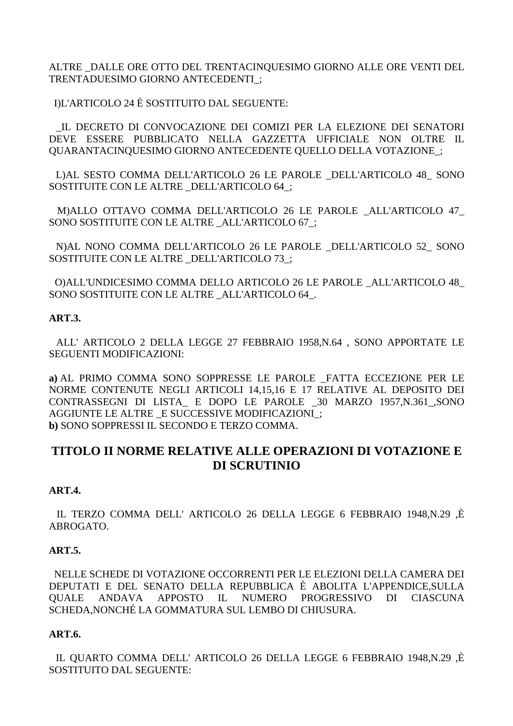ALTRE \_DALLE ORE OTTO DEL TRENTACINQUESIMO GIORNO ALLE ORE VENTI DEL TRENTADUESIMO GIORNO ANTECEDENTI\_;

I)L'ARTICOLO 24 È SOSTITUITO DAL SEGUENTE:

 \_IL DECRETO DI CONVOCAZIONE DEI COMIZI PER LA ELEZIONE DEI SENATORI DEVE ESSERE PUBBLICATO NELLA GAZZETTA UFFICIALE NON OLTRE IL QUARANTACINQUESIMO GIORNO ANTECEDENTE QUELLO DELLA VOTAZIONE\_;

 L)AL SESTO COMMA DELL'ARTICOLO 26 LE PAROLE \_DELL'ARTICOLO 48\_ SONO SOSTITUITE CON LE ALTRE \_DELL'ARTICOLO 64\_;

 M)ALLO OTTAVO COMMA DELL'ARTICOLO 26 LE PAROLE \_ALL'ARTICOLO 47\_ SONO SOSTITUITE CON LE ALTRE \_ ALL'ARTICOLO 67 :

 N)AL NONO COMMA DELL'ARTICOLO 26 LE PAROLE \_DELL'ARTICOLO 52\_ SONO SOSTITUITE CON LE ALTRE DELL'ARTICOLO 73 ;

 O)ALL'UNDICESIMO COMMA DELLO ARTICOLO 26 LE PAROLE \_ALL'ARTICOLO 48\_ SONO SOSTITUITE CON LE ALTRE ALL'ARTICOLO 64.

## **ART.3.**

 ALL' ARTICOLO 2 DELLA LEGGE 27 FEBBRAIO 1958,N.64 , SONO APPORTATE LE SEGUENTI MODIFICAZIONI:

**a)** AL PRIMO COMMA SONO SOPPRESSE LE PAROLE \_FATTA ECCEZIONE PER LE NORME CONTENUTE NEGLI ARTICOLI 14,15,16 E 17 RELATIVE AL DEPOSITO DEI CONTRASSEGNI DI LISTA\_ E DOPO LE PAROLE \_30 MARZO 1957,N.361\_,SONO AGGIUNTE LE ALTRE \_E SUCCESSIVE MODIFICAZIONI\_; **b)** SONO SOPPRESSI IL SECONDO E TERZO COMMA.

# **TITOLO II NORME RELATIVE ALLE OPERAZIONI DI VOTAZIONE E DI SCRUTINIO**

## **ART.4.**

 IL TERZO COMMA DELL' ARTICOLO 26 DELLA LEGGE 6 FEBBRAIO 1948,N.29 ,È ABROGATO.

## **ART.5.**

 NELLE SCHEDE DI VOTAZIONE OCCORRENTI PER LE ELEZIONI DELLA CAMERA DEI DEPUTATI E DEL SENATO DELLA REPUBBLICA È ABOLITA L'APPENDICE,SULLA QUALE ANDAVA APPOSTO IL NUMERO PROGRESSIVO DI CIASCUNA SCHEDA,NONCHÉ LA GOMMATURA SUL LEMBO DI CHIUSURA.

## **ART.6.**

 IL QUARTO COMMA DELL' ARTICOLO 26 DELLA LEGGE 6 FEBBRAIO 1948,N.29 ,È SOSTITUITO DAL SEGUENTE: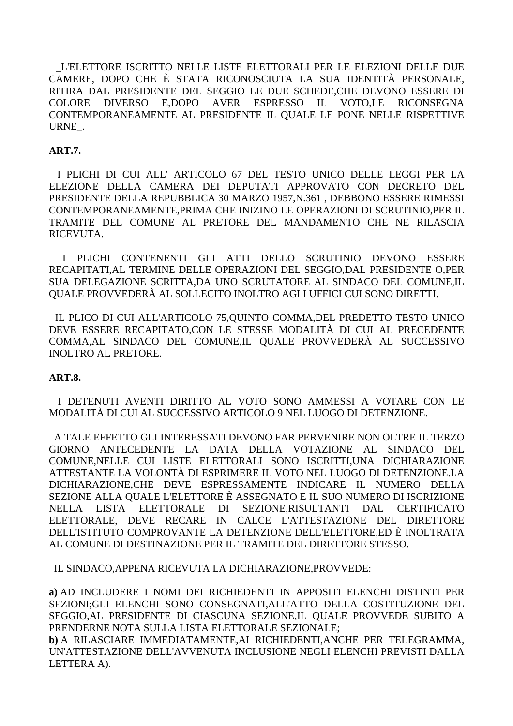L'ELETTORE ISCRITTO NELLE LISTE ELETTORALI PER LE ELEZIONI DELLE DUE CAMERE, DOPO CHE È STATA RICONOSCIUTA LA SUA IDENTITÀ PERSONALE, RITIRA DAL PRESIDENTE DEL SEGGIO LE DUE SCHEDE, CHE DEVONO ESSERE DI DIVERSO E.DOPO AVER ESPRESSO IL VOTO.LE **RICONSEGNA COLORE** CONTEMPORANEAMENTE AL PRESIDENTE IL QUALE LE PONE NELLE RISPETTIVE URNE.

### **ART.7.**

I PLICHI DI CUI ALL' ARTICOLO 67 DEL TESTO UNICO DELLE LEGGI PER LA ELEZIONE DELLA CAMERA DEI DEPUTATI APPROVATO CON DECRETO DEL PRESIDENTE DELLA REPUBBLICA 30 MARZO 1957, N.361, DEBBONO ESSERE RIMESSI CONTEMPORANEAMENTE, PRIMA CHE INIZINO LE OPERAZIONI DI SCRUTINIO, PER IL TRAMITE DEL COMUNE AL PRETORE DEL MANDAMENTO CHE NE RILASCIA RICEVUTA.

I PLICHI CONTENENTI GLI ATTI DELLO SCRUTINIO DEVONO ESSERE RECAPITATI.AL TERMINE DELLE OPERAZIONI DEL SEGGIO.DAL PRESIDENTE O.PER SUA DELEGAZIONE SCRITTA, DA UNO SCRUTATORE AL SINDACO DEL COMUNE, IL QUALE PROVVEDERÀ AL SOLLECITO INOLTRO AGLI UFFICI CUI SONO DIRETTI.

IL PLICO DI CUI ALL'ARTICOLO 75.0UINTO COMMA, DEL PREDETTO TESTO UNICO DEVE ESSERE RECAPITATO, CON LE STESSE MODALITÀ DI CUI AL PRECEDENTE COMMA, AL SINDACO DEL COMUNE, IL QUALE PROVVEDERÀ AL SUCCESSIVO **INOLTRO AL PRETORE.** 

### **ART.8.**

I DETENUTI AVENTI DIRITTO AL VOTO SONO AMMESSI A VOTARE CON LE MODALITÀ DI CUI AL SUCCESSIVO ARTICOLO 9 NEL LUOGO DI DETENZIONE.

A TALE EFFETTO GLI INTERESSATI DEVONO FAR PERVENIRE NON OLTRE IL TERZO GIORNO ANTECEDENTE LA DATA DELLA VOTAZIONE AL SINDACO DEL COMUNE.NELLE CUI LISTE ELETTORALI SONO ISCRITTI.UNA DICHIARAZIONE ATTESTANTE LA VOLONTÀ DI ESPRIMERE IL VOTO NEL LUOGO DI DETENZIONE.LA DICHIARAZIONE,CHE DEVE ESPRESSAMENTE INDICARE IL NUMERO DELLA SEZIONE ALLA QUALE L'ELETTORE È ASSEGNATO E IL SUO NUMERO DI ISCRIZIONE NELLA LISTA ELETTORALE DI SEZIONE, RISULTANTI DAL **CERTIFICATO** ELETTORALE. DEVE RECARE IN CALCE L'ATTESTAZIONE DEL DIRETTORE DELL'ISTITUTO COMPROVANTE LA DETENZIONE DELL'ELETTORE,ED È INOLTRATA AL COMUNE DI DESTINAZIONE PER IL TRAMITE DEL DIRETTORE STESSO.

IL SINDACO, APPENA RICEVUTA LA DICHIARAZIONE.PROVVEDE:

a) AD INCLUDERE I NOMI DEI RICHIEDENTI IN APPOSITI ELENCHI DISTINTI PER SEZIONI;GLI ELENCHI SONO CONSEGNATI,ALL'ATTO DELLA COSTITUZIONE DEL SEGGIO, AL PRESIDENTE DI CIASCUNA SEZIONE, IL QUALE PROVVEDE SUBITO A PRENDERNE NOTA SULLA LISTA ELETTORALE SEZIONALE:

b) A RILASCIARE IMMEDIATAMENTE, AI RICHIEDENTI, ANCHE PER TELEGRAMMA, UN'ATTESTAZIONE DELL'AVVENUTA INCLUSIONE NEGLI ELENCHI PREVISTI DALLA LETTERA A).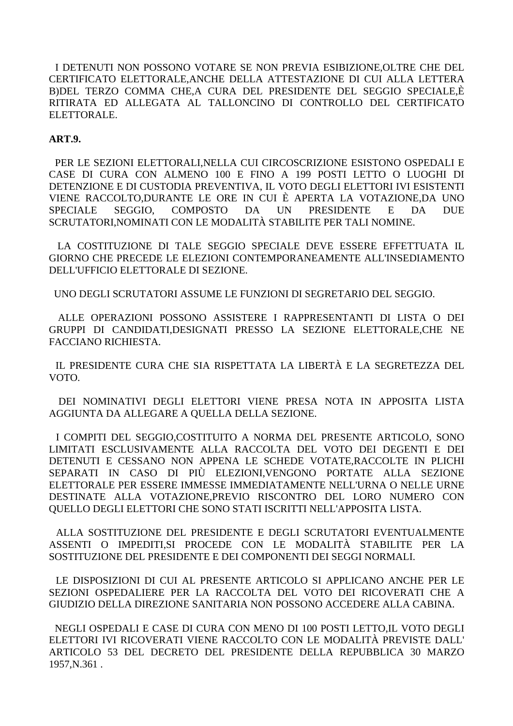I DETENUTI NON POSSONO VOTARE SE NON PREVIA ESIBIZIONE, OLTRE CHE DEL CERTIFICATO ELETTORALE, ANCHE DELLA ATTESTAZIONE DI CUI ALLA LETTERA B) DEL TERZO COMMA CHE, A CURA DEL PRESIDENTE DEL SEGGIO SPECIALE, È RITIRATA ED ALLEGATA AL TALLONCINO DI CONTROLLO DEL CERTIFICATO ELETTORALE.

### **ART.9.**

PER LE SEZIONI ELETTORALLNELLA CUI CIRCOSCRIZIONE ESISTONO OSPEDALI E CASE DI CURA CON ALMENO 100 E FINO A 199 POSTI LETTO O LUOGHI DI DETENZIONE E DI CUSTODIA PREVENTIVA. IL VOTO DEGLI ELETTORI IVI ESISTENTI VIENE RACCOLTO, DURANTE LE ORE IN CUI È APERTA LA VOTAZIONE, DA UNO **COMPOSTO SPECIALE** SEGGIO. DA **UN PRESIDENTE**  $E$ DA **DUE** SCRUTATORI, NOMINATI CON LE MODALITÀ STABILITE PER TALI NOMINE.

LA COSTITUZIONE DI TALE SEGGIO SPECIALE DEVE ESSERE EFFETTUATA IL GIORNO CHE PRECEDE LE ELEZIONI CONTEMPORANEAMENTE ALL'INSEDIAMENTO DELL'UFFICIO ELETTORALE DI SEZIONE.

UNO DEGLI SCRUTATORI ASSUME LE FUNZIONI DI SEGRETARIO DEL SEGGIO.

ALLE OPERAZIONI POSSONO ASSISTERE I RAPPRESENTANTI DI LISTA O DEI GRUPPI DI CANDIDATI.DESIGNATI PRESSO LA SEZIONE ELETTORALE.CHE NE FACCIANO RICHIESTA.

IL PRESIDENTE CURA CHE SIA RISPETTATA LA LIBERTÀ E LA SEGRETEZZA DEL VOTO.

DEI NOMINATIVI DEGLI ELETTORI VIENE PRESA NOTA IN APPOSITA LISTA AGGIUNTA DA ALLEGARE A QUELLA DELLA SEZIONE.

I COMPITI DEL SEGGIO.COSTITUITO A NORMA DEL PRESENTE ARTICOLO, SONO LIMITATI ESCLUSIVAMENTE ALLA RACCOLTA DEL VOTO DEI DEGENTI E DEI DETENUTI E CESSANO NON APPENA LE SCHEDE VOTATE, RACCOLTE IN PLICHI SEPARATI IN CASO DI PIÙ ELEZIONI, VENGONO PORTATE ALLA SEZIONE ELETTORALE PER ESSERE IMMESSE IMMEDIATAMENTE NELL'URNA O NELLE URNE DESTINATE ALLA VOTAZIONE, PREVIO RISCONTRO DEL LORO NUMERO CON OUELLO DEGLI ELETTORI CHE SONO STATI ISCRITTI NELL'APPOSITA LISTA.

ALLA SOSTITUZIONE DEL PRESIDENTE E DEGLI SCRUTATORI EVENTUALMENTE ASSENTI O IMPEDITI.SI PROCEDE CON LE MODALITÀ STABILITE PER LA SOSTITUZIONE DEL PRESIDENTE E DEI COMPONENTI DEI SEGGI NORMALL.

LE DISPOSIZIONI DI CUI AL PRESENTE ARTICOLO SI APPLICANO ANCHE PER LE SEZIONI OSPEDALIERE PER LA RACCOLTA DEL VOTO DEI RICOVERATI CHE A GIUDIZIO DELLA DIREZIONE SANITARIA NON POSSONO ACCEDERE ALLA CABINA.

NEGLI OSPEDALI E CASE DI CURA CON MENO DI 100 POSTI LETTO,IL VOTO DEGLI ELETTORI IVI RICOVERATI VIENE RACCOLTO CON LE MODALITÀ PREVISTE DALL' ARTICOLO 53 DEL DECRETO DEL PRESIDENTE DELLA REPUBBLICA 30 MARZO 1957.N.361.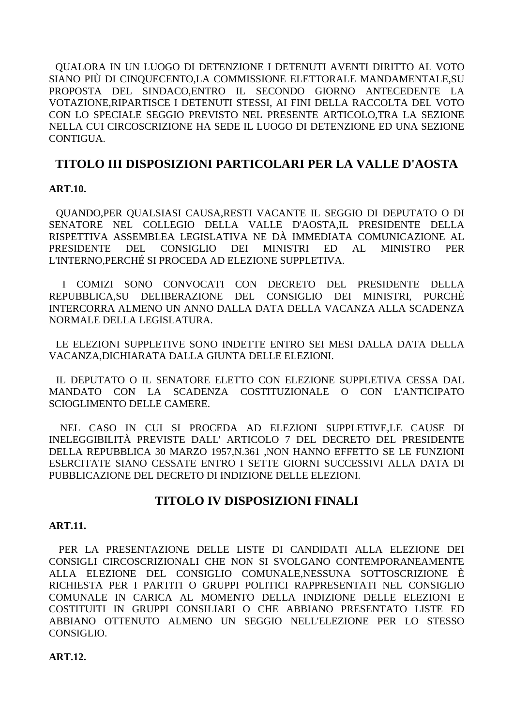QUALORA IN UN LUOGO DI DETENZIONE I DETENUTI AVENTI DIRITTO AL VOTO SIANO PIÙ DI CINQUECENTO,LA COMMISSIONE ELETTORALE MANDAMENTALE,SU PROPOSTA DEL SINDACO,ENTRO IL SECONDO GIORNO ANTECEDENTE LA VOTAZIONE,RIPARTISCE I DETENUTI STESSI, AI FINI DELLA RACCOLTA DEL VOTO CON LO SPECIALE SEGGIO PREVISTO NEL PRESENTE ARTICOLO,TRA LA SEZIONE NELLA CUI CIRCOSCRIZIONE HA SEDE IL LUOGO DI DETENZIONE ED UNA SEZIONE CONTIGUA.

# **TITOLO III DISPOSIZIONI PARTICOLARI PER LA VALLE D'AOSTA**

## **ART.10.**

 QUANDO,PER QUALSIASI CAUSA,RESTI VACANTE IL SEGGIO DI DEPUTATO O DI SENATORE NEL COLLEGIO DELLA VALLE D'AOSTA,IL PRESIDENTE DELLA RISPETTIVA ASSEMBLEA LEGISLATIVA NE DÀ IMMEDIATA COMUNICAZIONE AL PRESIDENTE DEL CONSIGLIO DEI MINISTRI ED AL MINISTRO PER L'INTERNO,PERCHÉ SI PROCEDA AD ELEZIONE SUPPLETIVA.

 I COMIZI SONO CONVOCATI CON DECRETO DEL PRESIDENTE DELLA REPUBBLICA,SU DELIBERAZIONE DEL CONSIGLIO DEI MINISTRI, PURCHÈ INTERCORRA ALMENO UN ANNO DALLA DATA DELLA VACANZA ALLA SCADENZA NORMALE DELLA LEGISLATURA.

 LE ELEZIONI SUPPLETIVE SONO INDETTE ENTRO SEI MESI DALLA DATA DELLA VACANZA,DICHIARATA DALLA GIUNTA DELLE ELEZIONI.

 IL DEPUTATO O IL SENATORE ELETTO CON ELEZIONE SUPPLETIVA CESSA DAL MANDATO CON LA SCADENZA COSTITUZIONALE O CON L'ANTICIPATO SCIOGLIMENTO DELLE CAMERE.

 NEL CASO IN CUI SI PROCEDA AD ELEZIONI SUPPLETIVE,LE CAUSE DI INELEGGIBILITÀ PREVISTE DALL' ARTICOLO 7 DEL DECRETO DEL PRESIDENTE DELLA REPUBBLICA 30 MARZO 1957,N.361 ,NON HANNO EFFETTO SE LE FUNZIONI ESERCITATE SIANO CESSATE ENTRO I SETTE GIORNI SUCCESSIVI ALLA DATA DI PUBBLICAZIONE DEL DECRETO DI INDIZIONE DELLE ELEZIONI.

## **TITOLO IV DISPOSIZIONI FINALI**

### **ART.11.**

 PER LA PRESENTAZIONE DELLE LISTE DI CANDIDATI ALLA ELEZIONE DEI CONSIGLI CIRCOSCRIZIONALI CHE NON SI SVOLGANO CONTEMPORANEAMENTE ALLA ELEZIONE DEL CONSIGLIO COMUNALE,NESSUNA SOTTOSCRIZIONE È RICHIESTA PER I PARTITI O GRUPPI POLITICI RAPPRESENTATI NEL CONSIGLIO COMUNALE IN CARICA AL MOMENTO DELLA INDIZIONE DELLE ELEZIONI E COSTITUITI IN GRUPPI CONSILIARI O CHE ABBIANO PRESENTATO LISTE ED ABBIANO OTTENUTO ALMENO UN SEGGIO NELL'ELEZIONE PER LO STESSO CONSIGLIO.

### **ART.12.**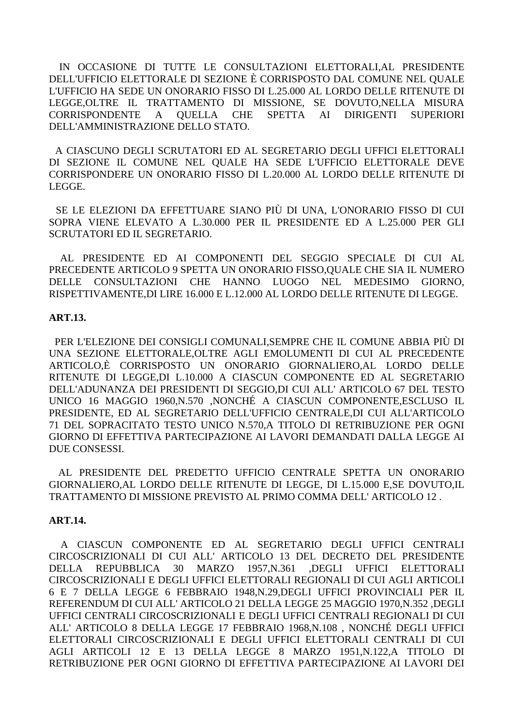IN OCCASIONE DI TUTTE LE CONSULTAZIONI ELETTORALI,AL PRESIDENTE DELL'UFFICIO ELETTORALE DI SEZIONE È CORRISPOSTO DAL COMUNE NEL QUALE L'UFFICIO HA SEDE UN ONORARIO FISSO DI L.25.000 AL LORDO DELLE RITENUTE DI LEGGE, OLTRE IL TRATTAMENTO DI MISSIONE, SE DOVUTO, NELLA MISURA CORRISPONDENTE  $\mathbf{A}$ **OUELLA CHE** SPETTA AI DIRIGENTI **SUPERIORI** DELL'AMMINISTRAZIONE DELLO STATO.

A CIASCUNO DEGLI SCRUTATORI ED AL SEGRETARIO DEGLI UFFICI ELETTORALI DI SEZIONE IL COMUNE NEL QUALE HA SEDE L'UFFICIO ELETTORALE DEVE CORRISPONDERE UN ONORARIO FISSO DI L.20.000 AL LORDO DELLE RITENUTE DI LEGGE.

SE LE ELEZIONI DA EFFETTUARE SIANO PIÙ DI UNA, L'ONORARIO FISSO DI CUI SOPRA VIENE ELEVATO A L.30.000 PER IL PRESIDENTE ED A L.25.000 PER GLI SCRUTATORI ED IL SEGRETARIO.

AL PRESIDENTE ED AI COMPONENTI DEL SEGGIO SPECIALE DI CUI AL PRECEDENTE ARTICOLO 9 SPETTA UN ONORARIO FISSO, OUALE CHE SIA IL NUMERO DELLE CONSULTAZIONI CHE HANNO LUOGO NEL MEDESIMO GIORNO. RISPETTIVAMENTE, DI LIRE 16.000 E L.12.000 AL LORDO DELLE RITENUTE DI LEGGE.

#### **ART.13.**

PER L'ELEZIONE DEI CONSIGLI COMUNALI, SEMPRE CHE IL COMUNE ABBIA PIÙ DI UNA SEZIONE ELETTORALE, OLTRE AGLI EMOLUMENTI DI CUI AL PRECEDENTE ARTICOLO.È CORRISPOSTO UN ONORARIO GIORNALIERO.AL LORDO DELLE RITENUTE DI LEGGE.DI L.10.000 A CIASCUN COMPONENTE ED AL SEGRETARIO DELL'ADUNANZA DEI PRESIDENTI DI SEGGIO.DI CUI ALL'ARTICOLO 67 DEL TESTO UNICO 16 MAGGIO 1960, N.570 , NONCHÉ A CIASCUN COMPONENTE, ESCLUSO IL PRESIDENTE, ED AL SEGRETARIO DELL'UFFICIO CENTRALE, DI CUI ALL'ARTICOLO 71 DEL SOPRACITATO TESTO UNICO N.570,A TITOLO DI RETRIBUZIONE PER OGNI GIORNO DI EFFETTIVA PARTECIPAZIONE AI LAVORI DEMANDATI DALLA LEGGE AI DUE CONSESSI.

AL PRESIDENTE DEL PREDETTO UFFICIO CENTRALE SPETTA UN ONORARIO GIORNALIERO, AL LORDO DELLE RITENUTE DI LEGGE, DI L.15.000 E, SE DOVUTO, IL TRATTAMENTO DI MISSIONE PREVISTO AL PRIMO COMMA DELL'ARTICOLO 12.

### **ART.14.**

A CIASCUN COMPONENTE ED AL SEGRETARIO DEGLI UFFICI CENTRALI CIRCOSCRIZIONALI DI CUI ALL' ARTICOLO 13 DEL DECRETO DEL PRESIDENTE **DELLA** REPUBBLICA 30 **MARZO** 1957.N.361 .DEGLI UFFICI ELETTORALI CIRCOSCRIZIONALI E DEGLI UFFICI ELETTORALI REGIONALI DI CUI AGLI ARTICOLI 6 E 7 DELLA LEGGE 6 FEBBRAIO 1948, N.29, DEGLI UFFICI PROVINCIALI PER IL REFERENDUM DI CUI ALL' ARTICOLO 21 DELLA LEGGE 25 MAGGIO 1970, N.352, DEGLI UFFICI CENTRALI CIRCOSCRIZIONALI E DEGLI UFFICI CENTRALI REGIONALI DI CUI ALL' ARTICOLO 8 DELLA LEGGE 17 FEBBRAIO 1968.N.108, NONCHÉ DEGLI UFFICI ELETTORALI CIRCOSCRIZIONALI E DEGLI UFFICI ELETTORALI CENTRALI DI CUI AGLI ARTICOLI 12 E 13 DELLA LEGGE 8 MARZO 1951, N.122, A TITOLO DI RETRIBUZIONE PER OGNI GIORNO DI EFFETTIVA PARTECIPAZIONE AI LAVORI DEI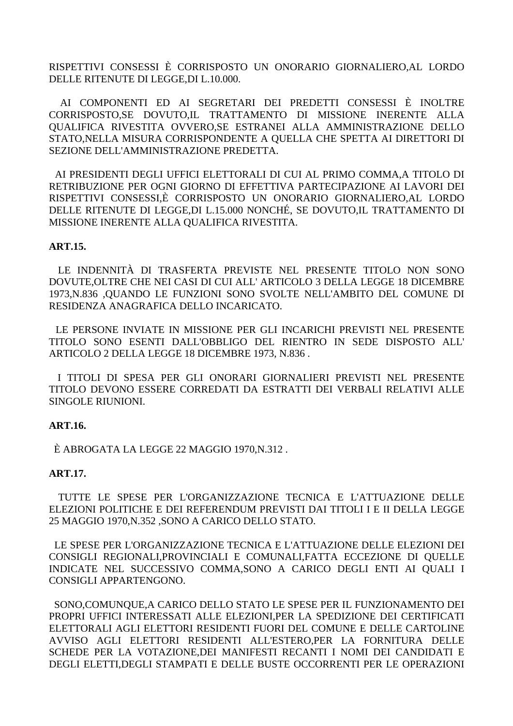RISPETTIVI CONSESSI È CORRISPOSTO UN ONORARIO GIORNALIERO,AL LORDO DELLE RITENUTE DI LEGGE,DI L.10.000.

 AI COMPONENTI ED AI SEGRETARI DEI PREDETTI CONSESSI È INOLTRE CORRISPOSTO,SE DOVUTO,IL TRATTAMENTO DI MISSIONE INERENTE ALLA QUALIFICA RIVESTITA OVVERO,SE ESTRANEI ALLA AMMINISTRAZIONE DELLO STATO,NELLA MISURA CORRISPONDENTE A QUELLA CHE SPETTA AI DIRETTORI DI SEZIONE DELL'AMMINISTRAZIONE PREDETTA.

 AI PRESIDENTI DEGLI UFFICI ELETTORALI DI CUI AL PRIMO COMMA,A TITOLO DI RETRIBUZIONE PER OGNI GIORNO DI EFFETTIVA PARTECIPAZIONE AI LAVORI DEI RISPETTIVI CONSESSI,È CORRISPOSTO UN ONORARIO GIORNALIERO,AL LORDO DELLE RITENUTE DI LEGGE,DI L.15.000 NONCHÉ, SE DOVUTO,IL TRATTAMENTO DI MISSIONE INERENTE ALLA QUALIFICA RIVESTITA.

### **ART.15.**

 LE INDENNITÀ DI TRASFERTA PREVISTE NEL PRESENTE TITOLO NON SONO DOVUTE,OLTRE CHE NEI CASI DI CUI ALL' ARTICOLO 3 DELLA LEGGE 18 DICEMBRE 1973,N.836 ,QUANDO LE FUNZIONI SONO SVOLTE NELL'AMBITO DEL COMUNE DI RESIDENZA ANAGRAFICA DELLO INCARICATO.

 LE PERSONE INVIATE IN MISSIONE PER GLI INCARICHI PREVISTI NEL PRESENTE TITOLO SONO ESENTI DALL'OBBLIGO DEL RIENTRO IN SEDE DISPOSTO ALL' ARTICOLO 2 DELLA LEGGE 18 DICEMBRE 1973, N.836 .

 I TITOLI DI SPESA PER GLI ONORARI GIORNALIERI PREVISTI NEL PRESENTE TITOLO DEVONO ESSERE CORREDATI DA ESTRATTI DEI VERBALI RELATIVI ALLE SINGOLE RIUNIONI.

### **ART.16.**

È ABROGATA LA LEGGE 22 MAGGIO 1970,N.312 .

### **ART.17.**

 TUTTE LE SPESE PER L'ORGANIZZAZIONE TECNICA E L'ATTUAZIONE DELLE ELEZIONI POLITICHE E DEI REFERENDUM PREVISTI DAI TITOLI I E II DELLA LEGGE 25 MAGGIO 1970,N.352 ,SONO A CARICO DELLO STATO.

 LE SPESE PER L'ORGANIZZAZIONE TECNICA E L'ATTUAZIONE DELLE ELEZIONI DEI CONSIGLI REGIONALI,PROVINCIALI E COMUNALI,FATTA ECCEZIONE DI QUELLE INDICATE NEL SUCCESSIVO COMMA,SONO A CARICO DEGLI ENTI AI QUALI I CONSIGLI APPARTENGONO.

 SONO,COMUNQUE,A CARICO DELLO STATO LE SPESE PER IL FUNZIONAMENTO DEI PROPRI UFFICI INTERESSATI ALLE ELEZIONI,PER LA SPEDIZIONE DEI CERTIFICATI ELETTORALI AGLI ELETTORI RESIDENTI FUORI DEL COMUNE E DELLE CARTOLINE AVVISO AGLI ELETTORI RESIDENTI ALL'ESTERO,PER LA FORNITURA DELLE SCHEDE PER LA VOTAZIONE,DEI MANIFESTI RECANTI I NOMI DEI CANDIDATI E DEGLI ELETTI,DEGLI STAMPATI E DELLE BUSTE OCCORRENTI PER LE OPERAZIONI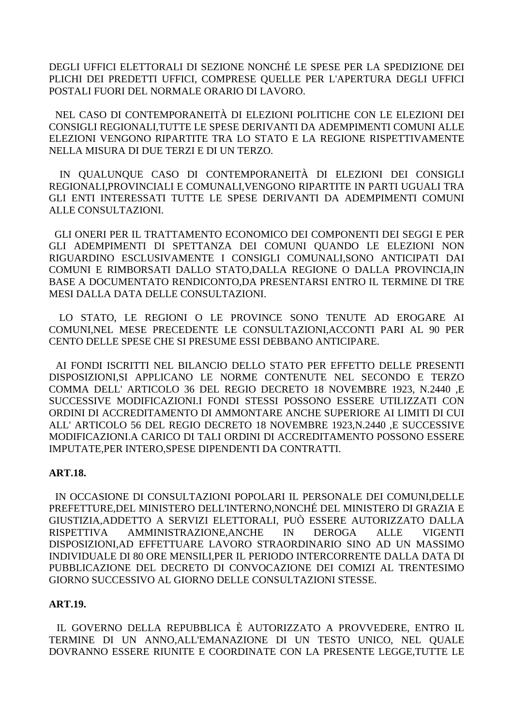DEGLI UFFICI ELETTORALI DI SEZIONE NONCHÉ LE SPESE PER LA SPEDIZIONE DEI PLICHI DEI PREDETTI UFFICI, COMPRESE QUELLE PER L'APERTURA DEGLI UFFICI POSTALI FUORI DEL NORMALE ORARIO DI LAVORO.

 NEL CASO DI CONTEMPORANEITÀ DI ELEZIONI POLITICHE CON LE ELEZIONI DEI CONSIGLI REGIONALI,TUTTE LE SPESE DERIVANTI DA ADEMPIMENTI COMUNI ALLE ELEZIONI VENGONO RIPARTITE TRA LO STATO E LA REGIONE RISPETTIVAMENTE NELLA MISURA DI DUE TERZI E DI UN TERZO.

 IN QUALUNQUE CASO DI CONTEMPORANEITÀ DI ELEZIONI DEI CONSIGLI REGIONALI,PROVINCIALI E COMUNALI,VENGONO RIPARTITE IN PARTI UGUALI TRA GLI ENTI INTERESSATI TUTTE LE SPESE DERIVANTI DA ADEMPIMENTI COMUNI ALLE CONSULTAZIONI.

 GLI ONERI PER IL TRATTAMENTO ECONOMICO DEI COMPONENTI DEI SEGGI E PER GLI ADEMPIMENTI DI SPETTANZA DEI COMUNI QUANDO LE ELEZIONI NON RIGUARDINO ESCLUSIVAMENTE I CONSIGLI COMUNALI,SONO ANTICIPATI DAI COMUNI E RIMBORSATI DALLO STATO,DALLA REGIONE O DALLA PROVINCIA,IN BASE A DOCUMENTATO RENDICONTO,DA PRESENTARSI ENTRO IL TERMINE DI TRE MESI DALLA DATA DELLE CONSULTAZIONI.

 LO STATO, LE REGIONI O LE PROVINCE SONO TENUTE AD EROGARE AI COMUNI,NEL MESE PRECEDENTE LE CONSULTAZIONI,ACCONTI PARI AL 90 PER CENTO DELLE SPESE CHE SI PRESUME ESSI DEBBANO ANTICIPARE.

 AI FONDI ISCRITTI NEL BILANCIO DELLO STATO PER EFFETTO DELLE PRESENTI DISPOSIZIONI,SI APPLICANO LE NORME CONTENUTE NEL SECONDO E TERZO COMMA DELL' ARTICOLO 36 DEL REGIO DECRETO 18 NOVEMBRE 1923, N.2440 ,E SUCCESSIVE MODIFICAZIONI.I FONDI STESSI POSSONO ESSERE UTILIZZATI CON ORDINI DI ACCREDITAMENTO DI AMMONTARE ANCHE SUPERIORE AI LIMITI DI CUI ALL' ARTICOLO 56 DEL REGIO DECRETO 18 NOVEMBRE 1923,N.2440 ,E SUCCESSIVE MODIFICAZIONI.A CARICO DI TALI ORDINI DI ACCREDITAMENTO POSSONO ESSERE IMPUTATE,PER INTERO,SPESE DIPENDENTI DA CONTRATTI.

### **ART.18.**

 IN OCCASIONE DI CONSULTAZIONI POPOLARI IL PERSONALE DEI COMUNI,DELLE PREFETTURE,DEL MINISTERO DELL'INTERNO,NONCHÉ DEL MINISTERO DI GRAZIA E GIUSTIZIA,ADDETTO A SERVIZI ELETTORALI, PUÒ ESSERE AUTORIZZATO DALLA RISPETTIVA AMMINISTRAZIONE,ANCHE IN DEROGA ALLE VIGENTI DISPOSIZIONI,AD EFFETTUARE LAVORO STRAORDINARIO SINO AD UN MASSIMO INDIVIDUALE DI 80 ORE MENSILI,PER IL PERIODO INTERCORRENTE DALLA DATA DI PUBBLICAZIONE DEL DECRETO DI CONVOCAZIONE DEI COMIZI AL TRENTESIMO GIORNO SUCCESSIVO AL GIORNO DELLE CONSULTAZIONI STESSE.

## **ART.19.**

 IL GOVERNO DELLA REPUBBLICA È AUTORIZZATO A PROVVEDERE, ENTRO IL TERMINE DI UN ANNO,ALL'EMANAZIONE DI UN TESTO UNICO, NEL QUALE DOVRANNO ESSERE RIUNITE E COORDINATE CON LA PRESENTE LEGGE,TUTTE LE